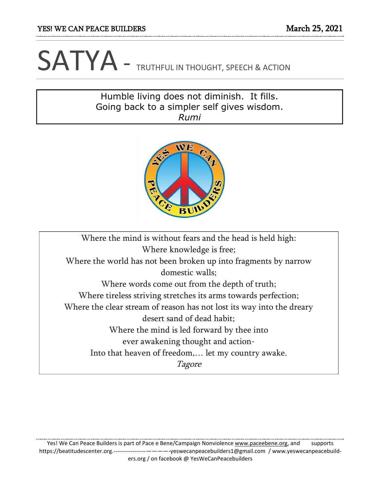## SATYA - TRUTHFUL IN THOUGHT, SPEECH & ACTION

## Humble living does not diminish. It fills. Going back to a simpler self gives wisdom. *Rumi*



Where the mind is without fears and the head is held high: Where knowledge is free; Where the world has not been broken up into fragments by narrow domestic walls; Where words come out from the depth of truth; Where tireless striving stretches its arms towards perfection; Where the clear stream of reason has not lost its way into the dreary desert sand of dead habit; Where the mind is led forward by thee into ever awakening thought and action-Into that heaven of freedom,… let my country awake. Tagore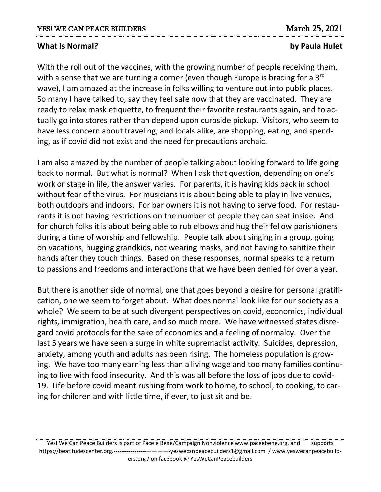## **What Is Normal? by Paula Hulet**

With the roll out of the vaccines, with the growing number of people receiving them, with a sense that we are turning a corner (even though Europe is bracing for a 3<sup>rd</sup> wave), I am amazed at the increase in folks willing to venture out into public places. So many I have talked to, say they feel safe now that they are vaccinated. They are ready to relax mask etiquette, to frequent their favorite restaurants again, and to actually go into stores rather than depend upon curbside pickup. Visitors, who seem to have less concern about traveling, and locals alike, are shopping, eating, and spending, as if covid did not exist and the need for precautions archaic.

I am also amazed by the number of people talking about looking forward to life going back to normal. But what is normal? When I ask that question, depending on one's work or stage in life, the answer varies. For parents, it is having kids back in school without fear of the virus. For musicians it is about being able to play in live venues, both outdoors and indoors. For bar owners it is not having to serve food. For restaurants it is not having restrictions on the number of people they can seat inside. And for church folks it is about being able to rub elbows and hug their fellow parishioners during a time of worship and fellowship. People talk about singing in a group, going on vacations, hugging grandkids, not wearing masks, and not having to sanitize their hands after they touch things. Based on these responses, normal speaks to a return to passions and freedoms and interactions that we have been denied for over a year.

But there is another side of normal, one that goes beyond a desire for personal gratification, one we seem to forget about. What does normal look like for our society as a whole? We seem to be at such divergent perspectives on covid, economics, individual rights, immigration, health care, and so much more. We have witnessed states disregard covid protocols for the sake of economics and a feeling of normalcy. Over the last 5 years we have seen a surge in white supremacist activity. Suicides, depression, anxiety, among youth and adults has been rising. The homeless population is growing. We have too many earning less than a living wage and too many families continuing to live with food insecurity. And this was all before the loss of jobs due to covid-19. Life before covid meant rushing from work to home, to school, to cooking, to caring for children and with little time, if ever, to just sit and be.

Yes! We Can Peace Builders is part of Pace e Bene/Campaign Nonviolence [www.paceebene.org,](http://www.paceebene.org/) and supports https://beatitudescenter.org.-----------------————-yeswecanpeacebuilders1@gmail.com / www.yeswecanpeacebuilders.org / on facebook @ YesWeCanPeacebuilders